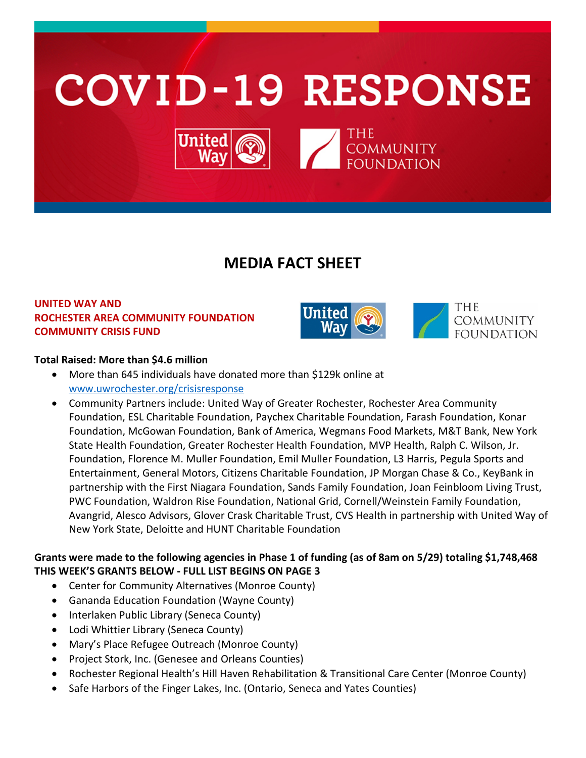

# **MEDIA FACT SHEET**

# **UNITED WAY AND ROCHESTER AREA COMMUNITY FOUNDATION COMMUNITY CRISIS FUND**



## **Total Raised: More than \$4.6 million**

- More than 645 individuals have donated more than \$129k online at [www.uwrochester.org/crisisresponse](http://www.uwrochester.org/crisisresponse)
- Community Partners include: United Way of Greater Rochester, Rochester Area Community Foundation, ESL Charitable Foundation, Paychex Charitable Foundation, Farash Foundation, Konar Foundation, McGowan Foundation, Bank of America, Wegmans Food Markets, M&T Bank, New York State Health Foundation, Greater Rochester Health Foundation, MVP Health, Ralph C. Wilson, Jr. Foundation, Florence M. Muller Foundation, Emil Muller Foundation, L3 Harris, Pegula Sports and Entertainment, General Motors, Citizens Charitable Foundation, JP Morgan Chase & Co., KeyBank in partnership with the First Niagara Foundation, Sands Family Foundation, Joan Feinbloom Living Trust, PWC Foundation, Waldron Rise Foundation, National Grid, Cornell/Weinstein Family Foundation, Avangrid, Alesco Advisors, Glover Crask Charitable Trust, CVS Health in partnership with United Way of New York State, Deloitte and HUNT Charitable Foundation

## **Grants were made to the following agencies in Phase 1 of funding (as of 8am on 5/29) totaling \$1,748,468 THIS WEEK'S GRANTS BELOW - FULL LIST BEGINS ON PAGE 3**

- Center for Community Alternatives (Monroe County)
- Gananda Education Foundation (Wayne County)
- Interlaken Public Library (Seneca County)
- Lodi Whittier Library (Seneca County)
- Mary's Place Refugee Outreach (Monroe County)
- Project Stork, Inc. (Genesee and Orleans Counties)
- Rochester Regional Health's Hill Haven Rehabilitation & Transitional Care Center (Monroe County)
- Safe Harbors of the Finger Lakes, Inc. (Ontario, Seneca and Yates Counties)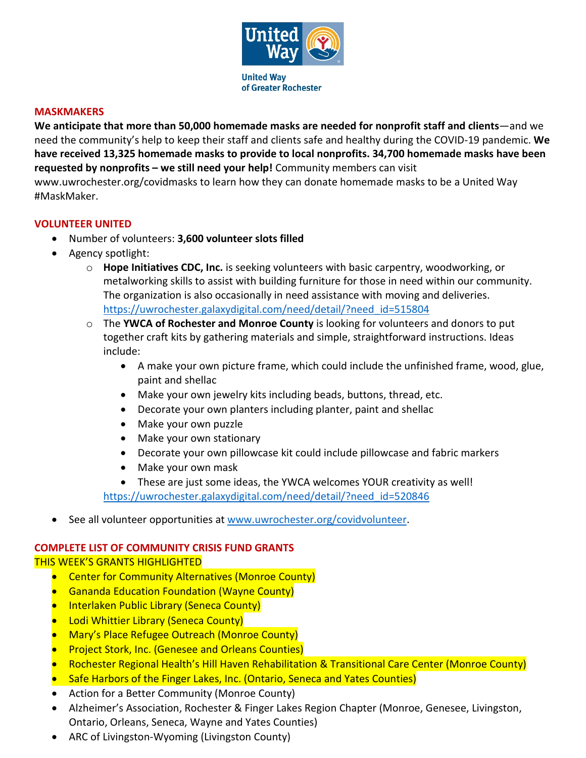

### **MASKMAKERS**

**We anticipate that more than 50,000 homemade masks are needed for nonprofit staff and clients**—and we need the community's help to keep their staff and clients safe and healthy during the COVID-19 pandemic. **We have received 13,325 homemade masks to provide to local nonprofits. 34,700 homemade masks have been requested by nonprofits – we still need your help!** Community members can visit www.uwrochester.org/covidmasks to learn how they can donate homemade masks to be a United Way #MaskMaker.

## **VOLUNTEER UNITED**

- Number of volunteers: **3,600 volunteer slots filled**
- Agency spotlight:
	- o **Hope Initiatives CDC, Inc.** is seeking volunteers with basic carpentry, woodworking, or metalworking skills to assist with building furniture for those in need within our community. The organization is also occasionally in need assistance with moving and deliveries. [https://uwrochester.galaxydigital.com/need/detail/?need\\_id=515804](https://uwrochester.galaxydigital.com/need/detail/?need_id=515804)
	- o The **YWCA of Rochester and Monroe County** is looking for volunteers and donors to put together craft kits by gathering materials and simple, straightforward instructions. Ideas include:
		- A make your own picture frame, which could include the unfinished frame, wood, glue, paint and shellac
		- Make your own jewelry kits including beads, buttons, thread, etc.
		- Decorate your own planters including planter, paint and shellac
		- Make your own puzzle
		- Make your own stationary
		- Decorate your own pillowcase kit could include pillowcase and fabric markers
		- Make your own mask
		- These are just some ideas, the YWCA welcomes YOUR creativity as well!

[https://uwrochester.galaxydigital.com/need/detail/?need\\_id=520846](https://uwrochester.galaxydigital.com/need/detail/?need_id=520846)

See all volunteer opportunities at [www.uwrochester.org/covidvolunteer.](http://www.uwrochester.org/covidvolunteer)

#### **COMPLETE LIST OF COMMUNITY CRISIS FUND GRANTS**

#### THIS WEEK'S GRANTS HIGHLIGHTED

- Center for Community Alternatives (Monroe County)
- Gananda Education Foundation (Wayne County)
- Interlaken Public Library (Seneca County)
- Lodi Whittier Library (Seneca County)
- Mary's Place Refugee Outreach (Monroe County)
- Project Stork, Inc. (Genesee and Orleans Counties)
- Rochester Regional Health's Hill Haven Rehabilitation & Transitional Care Center (Monroe County)
- Safe Harbors of the Finger Lakes, Inc. (Ontario, Seneca and Yates Counties)
- Action for a Better Community (Monroe County)
- Alzheimer's Association, Rochester & Finger Lakes Region Chapter (Monroe, Genesee, Livingston, Ontario, Orleans, Seneca, Wayne and Yates Counties)
- ARC of Livingston-Wyoming (Livingston County)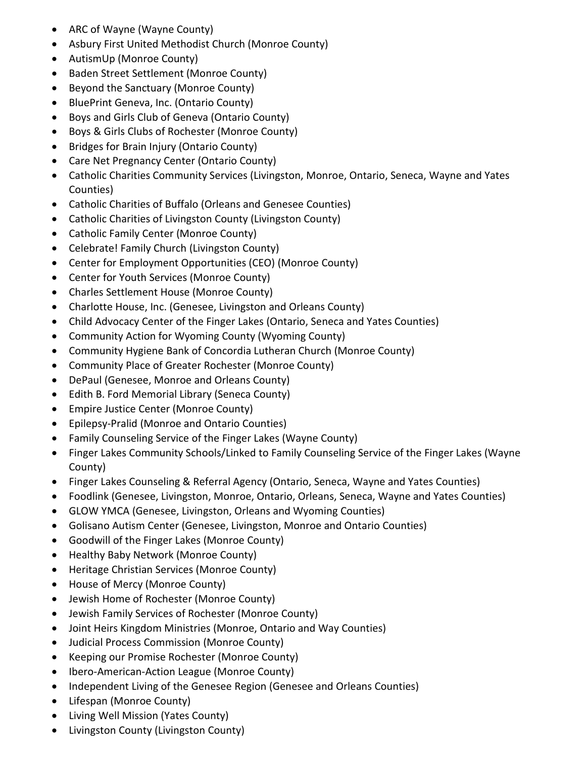- ARC of Wayne (Wayne County)
- Asbury First United Methodist Church (Monroe County)
- AutismUp (Monroe County)
- Baden Street Settlement (Monroe County)
- Beyond the Sanctuary (Monroe County)
- BluePrint Geneva, Inc. (Ontario County)
- Boys and Girls Club of Geneva (Ontario County)
- Boys & Girls Clubs of Rochester (Monroe County)
- Bridges for Brain Injury (Ontario County)
- Care Net Pregnancy Center (Ontario County)
- Catholic Charities Community Services (Livingston, Monroe, Ontario, Seneca, Wayne and Yates Counties)
- Catholic Charities of Buffalo (Orleans and Genesee Counties)
- Catholic Charities of Livingston County (Livingston County)
- Catholic Family Center (Monroe County)
- Celebrate! Family Church (Livingston County)
- Center for Employment Opportunities (CEO) (Monroe County)
- Center for Youth Services (Monroe County)
- Charles Settlement House (Monroe County)
- Charlotte House, Inc. (Genesee, Livingston and Orleans County)
- Child Advocacy Center of the Finger Lakes (Ontario, Seneca and Yates Counties)
- Community Action for Wyoming County (Wyoming County)
- Community Hygiene Bank of Concordia Lutheran Church (Monroe County)
- Community Place of Greater Rochester (Monroe County)
- DePaul (Genesee, Monroe and Orleans County)
- Edith B. Ford Memorial Library (Seneca County)
- Empire Justice Center (Monroe County)
- Epilepsy-Pralid (Monroe and Ontario Counties)
- Family Counseling Service of the Finger Lakes (Wayne County)
- Finger Lakes Community Schools/Linked to Family Counseling Service of the Finger Lakes (Wayne County)
- Finger Lakes Counseling & Referral Agency (Ontario, Seneca, Wayne and Yates Counties)
- Foodlink (Genesee, Livingston, Monroe, Ontario, Orleans, Seneca, Wayne and Yates Counties)
- GLOW YMCA (Genesee, Livingston, Orleans and Wyoming Counties)
- Golisano Autism Center (Genesee, Livingston, Monroe and Ontario Counties)
- Goodwill of the Finger Lakes (Monroe County)
- Healthy Baby Network (Monroe County)
- Heritage Christian Services (Monroe County)
- House of Mercy (Monroe County)
- Jewish Home of Rochester (Monroe County)
- Jewish Family Services of Rochester (Monroe County)
- Joint Heirs Kingdom Ministries (Monroe, Ontario and Way Counties)
- Judicial Process Commission (Monroe County)
- Keeping our Promise Rochester (Monroe County)
- Ibero-American-Action League (Monroe County)
- Independent Living of the Genesee Region (Genesee and Orleans Counties)
- Lifespan (Monroe County)
- Living Well Mission (Yates County)
- Livingston County (Livingston County)